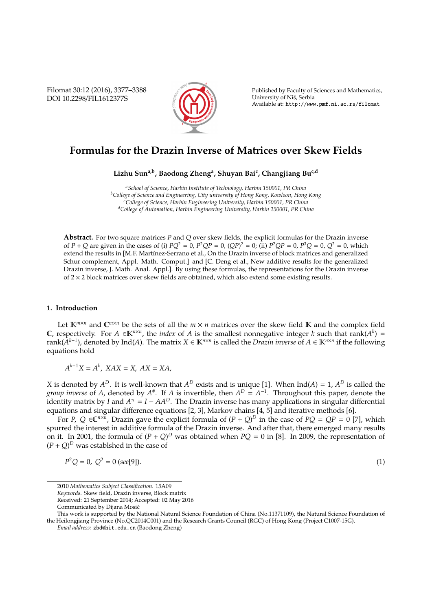Filomat 30:12 (2016), 3377–3388 DOI 10.2298/FIL1612377S



Published by Faculty of Sciences and Mathematics, University of Nis, Serbia ˇ Available at: http://www.pmf.ni.ac.rs/filomat

# **Formulas for the Drazin Inverse of Matrices over Skew Fields**

**Lizhu Suna,b, Baodong Zheng<sup>a</sup> , Shuyan Bai<sup>c</sup> , Changjiang Buc,d**

*<sup>a</sup>School of Science, Harbin Institute of Technology, Harbin 150001, PR China <sup>b</sup>College of Science and Engineering, City university of Hong Kong, Kowloon, Hong Kong <sup>c</sup>College of Science, Harbin Engineering University, Harbin 150001, PR China <sup>d</sup>College of Automation, Harbin Engineering University, Harbin 150001, PR China*

**Abstract.** For two square matrices *P* and *Q* over skew fields, the explicit formulas for the Drazin inverse of *P* + *Q* are given in the cases of (i)  $PQ^2 = 0$ ,  $P^2QP = 0$ ,  $(QP)^2 = 0$ ; (ii)  $P^2QP = 0$ ,  $P^3Q = 0$ ,  $Q^2 = 0$ , which extend the results in [M.F. Martínez-Serrano et al., On the Drazin inverse of block matrices and generalized Schur complement, Appl. Math. Comput.] and [C. Deng et al., New additive results for the generalized Drazin inverse, J. Math. Anal. Appl.]. By using these formulas, the representations for the Drazin inverse of 2 × 2 block matrices over skew fields are obtained, which also extend some existing results.

#### **1. Introduction**

Let  $K^{m \times n}$  and  $C^{m \times n}$  be the sets of all the  $m \times n$  matrices over the skew field K and the complex field C, respectively. For *A* ∈K<sup>*n*×*n*</sup>, the *index* of *A* is the smallest nonnegative integer *k* such that rank( $A^k$ ) = rank( $\hat{A}^{k+1}$ ), denoted by Ind(A). The matrix  $X \in \mathbb{K}^{n\times n}$  is called the *Drazin inverse* of  $A \in \mathbb{K}^{n\times n}$  if the following equations hold

$$
A^{k+1}X = A^k, XAX = X, AX = XA,
$$

*X* is denoted by  $A^D$ . It is well-known that  $A^D$  exists and is unique [1]. When Ind(*A*) = 1,  $A^D$  is called the *group inverse* of *A*, denoted by  $A^*$ . If *A* is invertible, then  $A^D = A^{-1}$ . Throughout this paper, denote the identity matrix by *I* and  $A^{\pi} = I - AA^D$ . The Drazin inverse has many applications in singular differential equations and singular difference equations [2, 3], Markov chains [4, 5] and iterative methods [6].

For *P*,  $Q \in \mathbb{C}^{n \times n}$ , Drazin gave the explicit formula of  $(P + Q)^D$  in the case of  $PQ = QP = 0$  [7], which spurred the interest in additive formula of the Drazin inverse. And after that, there emerged many results on it. In 2001, the formula of  $(P + Q)^D$  was obtained when  $PQ = 0$  in [8]. In 2009, the representation of  $(P + Q)^D$  was establshed in the case of

$$
P^2Q = 0, \ Q^2 = 0 \ (see [9]). \tag{1}
$$

$$
(1)
$$

2010 *Mathematics Subject Classification*. 15A09

*Keywords*. Skew field, Drazin inverse, Block matrix

Received: 21 September 2014; Accepted: 02 May 2016

Communicated by Dijana Mosic´

This work is supported by the National Natural Science Foundation of China (No.11371109), the Natural Science Foundation of the Heilongjiang Province (No.QC2014C001) and the Research Grants Council (RGC) of Hong Kong (Project C1007-15G).

*Email address:* zbd@hit.edu.cn (Baodong Zheng)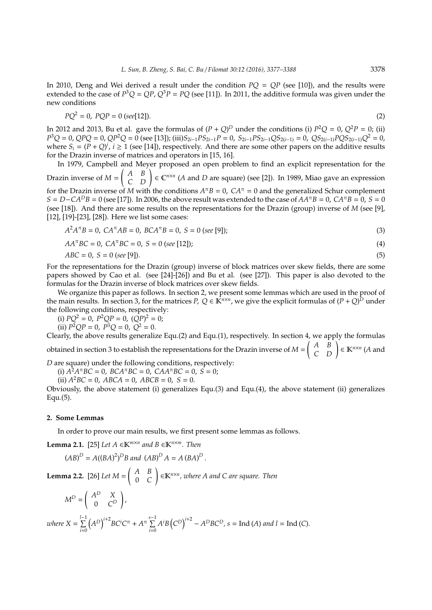In 2010, Deng and Wei derived a result under the condition *PQ* = *QP* (see [10]), and the results were extended to the case of  $P^3Q = QP$ ,  $Q^3P = PQ$  (see [11]). In 2011, the additive formula was given under the new conditions

$$
PQ^2 = 0, \ PQP = 0 \ (see [12]). \tag{2}
$$

In 2012 and 2013, Bu et al. gave the formulas of  $(P + Q)^D$  under the conditions (i)  $P^2Q = 0$ ,  $Q^2P = 0$ ; (ii)  $P^3Q = 0$ ,  $QPQ = 0$ ,  $QP^2Q = 0$  (see [13]); (iii) $S_{2i-1}PS_{2i-1}P = 0$ ,  $S_{2i-1}PS_{2i-1}QS_{2(i-1)} = 0$ ,  $QS_{2(i-1)}PQS_{2(i-1)}Q^2 = 0$ , where  $S_i = (P + Q)^i$ ,  $i \ge 1$  (see [14]), respectively. And there are some other papers on the additive results for the Drazin inverse of matrices and operators in [15, 16].

In 1979, Campbell and Meyer proposed an open problem to find an explicit representation for the Drazin inverse of *M* =  $\begin{pmatrix} A & B \\ C & D \end{pmatrix} \in \mathbb{C}^{n \times n}$  (*A* and *D* are square) (see [2]). In 1989, Miao gave an expression for the Drazin inverse of *M* with the conditions  $A^{\pi}B = 0$ ,  $CA^{\pi} = 0$  and the generalized Schur complement  $S = D - CA^D B = 0$  (see [17]). In 2006, the above result was extended to the case of  $AA^T B = 0$ ,  $CA^T B = 0$ ,  $S = 0$ (see [18]). And there are some results on the representations for the Drazin (group) inverse of *M* (see [9], [12], [19]-[23], [28]). Here we list some cases:

$$
A^2 A^{\pi} B = 0, \; CA^{\pi} AB = 0, \; BC A^{\pi} B = 0, \; S = 0 \; (see \; [9]); \tag{3}
$$

$$
AA^{\pi}BC = 0, CA^{\pi}BC = 0, S = 0 (see [12]);
$$
\n(4)

$$
ABC = 0, \ S = 0 \ (see \ [9]). \tag{5}
$$

For the representations for the Drazin (group) inverse of block matrices over skew fields, there are some papers showed by Cao et al. (see [24]-[26]) and Bu et al. (see [27]). This paper is also devoted to the formulas for the Drazin inverse of block matrices over skew fields.

We organize this paper as follows. In section 2, we present some lemmas which are used in the proof of the main results. In section 3, for the matrices *P*,  $Q \in K^{n \times n}$ , we give the explicit formulas of  $(P + Q)^D$  under the following conditions, respectively:

(i)  $PQ^2 = 0$ ,  $P^2QP = 0$ ,  $(QP)^2 = 0$ ;

(ii)  $P^2QP = 0$ ,  $P^3Q = 0$ ,  $Q^2 = 0$ .

Clearly, the above results generalize Equ.(2) and Equ.(1), respectively. In section 4, we apply the formulas obtained in section 3 to establish the representations for the Drazin inverse of *M* =  $\begin{pmatrix} A & B \\ C & D \end{pmatrix} \in \mathbb{K}^{n \times n}$  (*A* and

*D* are square) under the following conditions, respectively:

(i)  $A^2 A^{\pi} B C = 0$ ,  $B C A^{\pi} B C = 0$ ,  $C A A^{\pi} B C = 0$ ,  $S = 0$ ;

(ii)  $A^2BC = 0$ ,  $ABCA = 0$ ,  $ABCB = 0$ ,  $S = 0$ .

Obviously, the above statement (i) generalizes Equ.(3) and Equ.(4), the above statement (ii) generalizes Equ.(5).

## **2. Some Lemmas**

In order to prove our main results, we first present some lemmas as follows.

**Lemma 2.1.** [25] *Let A* ∈ $K^{m \times n}$  *and B* ∈ $K^{n \times m}$ *. Then* 

$$
(AB)^{D} = A((BA)^{2})^{D}B \text{ and } (AB)^{D}A = A(BA)^{D}.
$$
  
**Lemma 2.2.** [26] Let  $M = \begin{pmatrix} A & B \ 0 & C \end{pmatrix} \in \mathbb{K}^{n \times n}$ , where A and C are square. Then

$$
M^{D} = \begin{pmatrix} A^{D} & X \\ 0 & C^{D} \end{pmatrix},
$$
  
where  $X = \sum_{i=0}^{l-1} (A^{D})^{i+2} BC^{i} C^{T} + A^{T} \sum_{i=0}^{s-1} A^{i} B (C^{D})^{i+2} - A^{D} BC^{D}, s = \text{Ind}(A)$  and  $l = \text{Ind}(C)$ .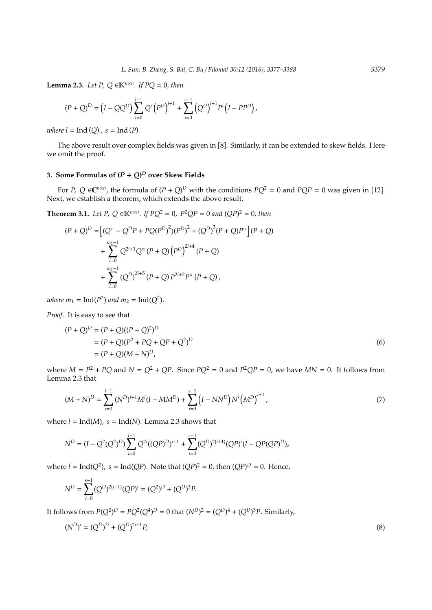**Lemma 2.3.** *Let P*,  $Q \in K^{n \times n}$ *. If PQ* = 0*, then* 

$$
(P+Q)^D = (I-QQ^D)\sum_{i=0}^{l-1} Q^i (P^D)^{i+1} + \sum_{i=0}^{s-1} (Q^D)^{i+1} P^i (I-PP^D),
$$

*where*  $l = \text{Ind}(Q)$ ,  $s = \text{Ind}(P)$ .

The above result over complex fields was given in [8]. Similarly, it can be extended to skew fields. Here we omit the proof.

## **3. Some Formulas of (***P* + *Q***)** *<sup>D</sup>* **over Skew Fields**

For *P*,  $Q \in \mathbb{C}^{n \times n}$ , the formula of  $(P + Q)^D$  with the conditions  $PQ^2 = 0$  and  $PQP = 0$  was given in [12]. Next, we establish a theorem, which extends the above result.

**Theorem 3.1.** *Let P, Q* ∈**K**<sup>*n*×*n*</sup>. *If*  $PQ^2 = 0$ ,  $P^2QP = 0$  and  $(QP)^2 = 0$ , then

$$
(P+Q)^D = \left[ (Q^{\pi} - Q^D P + PQ(P^D)^2)(P^D)^2 + (Q^D)^3 (P+Q)P^{\pi} \right] (P+Q)
$$
  
+ 
$$
\sum_{i=0}^{m_2-1} Q^{2i+1} Q^{\pi} (P+Q) (P^D)^{2i+4} (P+Q)
$$
  
+ 
$$
\sum_{i=0}^{m_1-1} (Q^D)^{2i+5} (P+Q) P^{2i+2} P^{\pi} (P+Q),
$$

*where*  $m_1 = \text{Ind}(P^2)$  *and*  $m_2 = \text{Ind}(Q^2)$ *.* 

*Proof.* It is easy to see that

$$
(P + Q)^D = (P + Q)((P + Q)^2)^D
$$
  
= (P + Q)(P<sup>2</sup> + PQ + QP + Q<sup>2</sup>)<sup>D</sup>  
= (P + Q)(M + N)<sup>D</sup>, (6)

where  $M = P^2 + PQ$  and  $N = Q^2 + QP$ . Since  $PQ^2 = 0$  and  $P^2QP = 0$ , we have  $MN = 0$ . It follows from Lemma 2.3 that

$$
(M+N)^{D} = \sum_{i=0}^{l-1} (N^{D})^{i+1} M^{i} (I - MM^{D}) + \sum_{i=0}^{s-1} (I - NN^{D}) N^{i} (M^{D})^{i+1}, \qquad (7)
$$

where  $l = Ind(M)$ ,  $s = Ind(N)$ . Lemma 2.3 shows that

$$
N^{D} = (I - Q^{2}(Q^{2})^{D}) \sum_{i=0}^{l-1} Q^{2i} ((QP)^{D})^{i+1} + \sum_{i=0}^{s-1} (Q^{D})^{2(i+1)} (QP)^{i} (I - QP(QP)^{D}),
$$

where  $l = \text{Ind}(Q^2)$ ,  $s = \text{Ind}(QP)$ . Note that  $(QP)^2 = 0$ , then  $(QP)^D = 0$ . Hence,

$$
N^{D} = \sum_{i=0}^{s-1} (Q^{D})^{2(i+1)} (QP)^{i} = (Q^{2})^{D} + (Q^{D})^{3} P.
$$

It follows from  $P(Q^2)^D = PQ^2(Q^4)^D = 0$  that  $(N^D)^2 = (Q^D)^4 + (Q^D)^5 P$ . Similarly,

$$
(N^D)^i = (Q^D)^{2i} + (Q^D)^{2i+1}P,
$$
\n(8)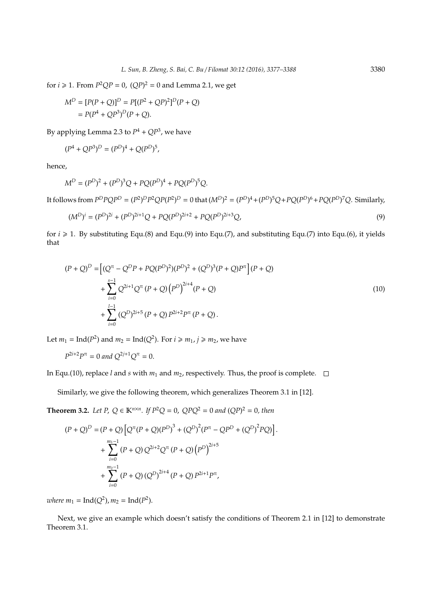for  $i \ge 1$ . From  $P^2QP = 0$ ,  $(QP)^2 = 0$  and Lemma 2.1, we get

$$
M^{D} = [P(P + Q)]^{D} = P[(P^{2} + QP)^{2}]^{D}(P + Q)
$$
  
=  $P(P^{4} + QP^{3})^{D}(P + Q).$ 

By applying Lemma 2.3 to  $P^4 + QP^3$ , we have

$$
(P^4 + QP^3)^D = (P^D)^4 + Q(P^D)^5,
$$

hence,

$$
M^D = (P^D)^2 + (P^D)^3 Q + PQ(P^D)^4 + PQ(P^D)^5 Q.
$$

It follows from  $P^D P Q P^D = (P^2)^D P^2 Q P (P^2)^D = 0$  that  $(M^D)^2 = (P^D)^4 + (P^D)^5 Q + PQ (P^D)^6 + PQ (P^D)^7 Q$ . Similarly,

$$
(M^D)^i = (P^D)^{2i} + (P^D)^{2i+1}Q + PQ(P^D)^{2i+2} + PQ(P^D)^{2i+3}Q,
$$
\n(9)

for  $i \ge 1$ . By substituting Equ.(8) and Equ.(9) into Equ.(7), and substituting Equ.(7) into Equ.(6), it yields that

$$
(P+Q)^{D} = \left[ (Q^{n} - Q^{D}P + PQ(P^{D})^{2})(P^{D})^{2} + (Q^{D})^{3}(P+Q)P^{n} \right](P+Q)
$$
  
+ 
$$
\sum_{i=0}^{s-1} Q^{2i+1}Q^{n}(P+Q)\left(P^{D}\right)^{2i+4}(P+Q)
$$
  
+ 
$$
\sum_{i=0}^{l-1} (Q^{D})^{2i+5}(P+Q)P^{2i+2}P^{n}(P+Q).
$$
 (10)

Let  $m_1 = \text{Ind}(P^2)$  and  $m_2 = \text{Ind}(Q^2)$ . For  $i \ge m_1$ ,  $j \ge m_2$ , we have

$$
P^{2i+2}P^{\pi} = 0 \text{ and } Q^{2j+1}Q^{\pi} = 0.
$$

In Equ.(10), replace *l* and *s* with  $m_1$  and  $m_2$ , respectively. Thus, the proof is complete.  $\Box$ 

Similarly, we give the following theorem, which generalizes Theorem 3.1 in [12].

**Theorem 3.2.** *Let P, Q*  $\in$  **K**<sup>*n*×*n*</sup>*. If P*<sup>2</sup>*Q* = 0*, QPQ*<sup>2</sup> = 0 *and* (*QP*)<sup>2</sup> = 0*, then* 

$$
(P+Q)^D = (P+Q)\left[Q^{\pi}(P+Q)(P^D)^3 + (Q^D)^2(P^{\pi} - QP^D + (Q^D)^2PQ)\right].
$$
  
+ 
$$
\sum_{i=0}^{m_1-1} (P+Q) Q^{2i+2} Q^{\pi} (P+Q) (P^D)^{2i+5}
$$
  
+ 
$$
\sum_{i=0}^{m_2-1} (P+Q) (Q^D)^{2i+4} (P+Q) P^{2i+1} P^{\pi},
$$

*where*  $m_1 = \text{Ind}(Q^2)$ ,  $m_2 = \text{Ind}(P^2)$ .

Next, we give an example which doesn't satisfy the conditions of Theorem 2.1 in [12] to demonstrate Theorem 3.1.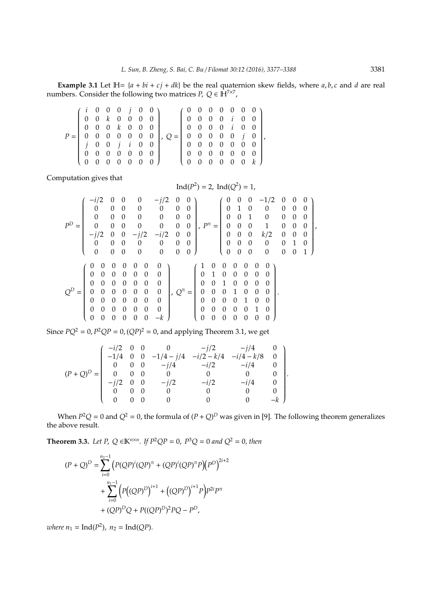**Example 3.1** Let  $H = \{a + bi + cj + dk\}$  be the real quaternion skew fields, where *a*, *b*, *c* and *d* are real numbers. Consider the following two matrices *P*,  $Q \in \mathbf{H}^{7 \times 7}$ ,

| $(i \ 0 \ 0 \ 0 \ j \ 0 \ 0)$<br>$\begin{bmatrix} 0 & 0 & k & 0 & 0 & 0 & 0 \end{bmatrix}$ |  |  |                                               |                                                                                                                                 | $(0\; 0\; 0\; 0\; 0\; 0\; 0)$                             |  |  |  |  |
|--------------------------------------------------------------------------------------------|--|--|-----------------------------------------------|---------------------------------------------------------------------------------------------------------------------------------|-----------------------------------------------------------|--|--|--|--|
| $\begin{bmatrix} 0 & 0 & 0 & k & 0 & 0 & 0 \end{bmatrix}$                                  |  |  |                                               |                                                                                                                                 | $\begin{bmatrix} 0 & 0 & 0 & 0 & i & 0 & 0 \end{bmatrix}$ |  |  |  |  |
|                                                                                            |  |  |                                               | $P = \begin{bmatrix} 0 & 0 & 0 & 0 & 0 & 0 & 0 \end{bmatrix}$ , $Q = \begin{bmatrix} 0 & 0 & 0 & 0 & 0 & j & 0 \end{bmatrix}$ , |                                                           |  |  |  |  |
| $\begin{bmatrix} j & 0 & 0 & j & i & 0 & 0 \end{bmatrix}$                                  |  |  |                                               |                                                                                                                                 | [ 0 0 0 0 0 0 0 ]                                         |  |  |  |  |
| 0000000                                                                                    |  |  |                                               |                                                                                                                                 | 0 0 0 0 0 0 0                                             |  |  |  |  |
| $\begin{pmatrix} 1 & 0 \\ 0 & 1 \end{pmatrix}$                                             |  |  | $0\quad 0\quad 0\quad 0\quad 0\quad 0\quad 0$ |                                                                                                                                 | (0 0 0 0 0 0 k)                                           |  |  |  |  |

Computation gives that

$$
P^{D} = \begin{pmatrix}\n-i/2 & 0 & 0 & 0 & -j/2 & 0 & 0 \\
0 & 0 & 0 & 0 & 0 & 0 & 0 \\
0 & 0 & 0 & 0 & 0 & 0 & 0 \\
0 & 0 & 0 & 0 & 0 & 0 & 0 \\
0 & 0 & 0 & 0 & 0 & 0 & 0 \\
-j/2 & 0 & 0 & -j/2 & -i/2 & 0 & 0 \\
0 & 0 & 0 & 0 & 0 & 0 & 0\n\end{pmatrix}, P^{\pi} = \begin{pmatrix}\n0 & 0 & 0 & -1/2 & 0 & 0 & 0 \\
0 & 1 & 0 & 0 & 0 & 0 & 0 \\
0 & 0 & 1 & 0 & 0 & 0 & 0 \\
0 & 0 & 0 & 1 & 0 & 0 & 0 \\
0 & 0 & 0 & 0 & 0 & 0 & 0 \\
0 & 0 & 0 & 0 & 0 & 0 & 0 \\
0 & 0 & 0 & 0 & 0 & 0 & 0 \\
0 & 0 & 0 & 0 & 0 & 0 & 0\n\end{pmatrix}
$$
\n
$$
Q^{D} = \begin{pmatrix}\n0 & 0 & 0 & 0 & 0 & 0 & 0 \\
0 & 0 & 0 & 0 & 0 & 0 & 0 \\
0 & 0 & 0 & 0 & 0 & 0 & 0 \\
0 & 0 & 0 & 0 & 0 & 0 & 0 \\
0 & 0 & 0 & 0 & 0 & 0 & 0 \\
0 & 0 & 0 & 0 & 0 & 0 & 0 \\
0 & 0 & 0 & 0 & 0 & 0 & 0\n\end{pmatrix}, Q^{\pi} = \begin{pmatrix}\n1 & 0 & 0 & 0 & 0 & 0 & 0 \\
0 & 1 & 0 & 0 & 0 & 0 & 0 & 0 \\
0 & 1 & 0 & 0 & 0 & 0 & 0 & 0 \\
0 & 0 & 0 & 1 & 0 & 0 & 0 & 0 \\
0 & 0 & 0 & 0 & 0 & 1 & 0 & 0 \\
0 & 0 & 0 & 0 & 0 & 0 & 0 & 0 \\
0 & 0 & 0 & 0 & 0 & 0 & 0 & 0\n\end{pmatrix}.
$$

Since  $PQ^2 = 0$ ,  $P^2QP = 0$ ,  $(QP)^2 = 0$ , and applying Theorem 3.1, we get

$$
(P+Q)^D = \begin{pmatrix} -i/2 & 0 & 0 & 0 & -j/2 & -j/4 & 0 \\ -1/4 & 0 & 0 & -1/4 - j/4 & -i/2 - k/4 & -i/4 - k/8 & 0 \\ 0 & 0 & 0 & -j/4 & -i/2 & -i/4 & 0 \\ 0 & 0 & 0 & 0 & 0 & 0 & 0 \\ -j/2 & 0 & 0 & -j/2 & -i/2 & -i/4 & 0 \\ 0 & 0 & 0 & 0 & 0 & 0 & 0 \\ 0 & 0 & 0 & 0 & 0 & 0 & -k \end{pmatrix}.
$$

When  $P^2Q = 0$  and  $Q^2 = 0$ , the formula of  $(P + Q)^D$  was given in [9]. The following theorem generalizes the above result.

**Theorem 3.3.** *Let P*,  $Q \in \mathbb{K}^{n \times n}$ *. If*  $P^2 QP = 0$ *,*  $P^3 Q = 0$  and  $Q^2 = 0$ *, then* 

$$
(P+Q)^D = \sum_{i=0}^{n_2-1} (P(QP)^i (QP)^{\pi} + (QP)^i (QP)^{\pi} P) (P^D)^{2i+2}
$$
  
+ 
$$
\sum_{i=0}^{n_1-1} (P((QP)^D)^{i+1} + ((QP)^D)^{i+1} P) P^{2i} P^{\pi}
$$
  
+ 
$$
(QP)^D Q + P((QP)^D)^2 PQ - P^D,
$$

*where*  $n_1 = \text{Ind}(P^2)$ ,  $n_2 = \text{Ind}(QP)$ .

,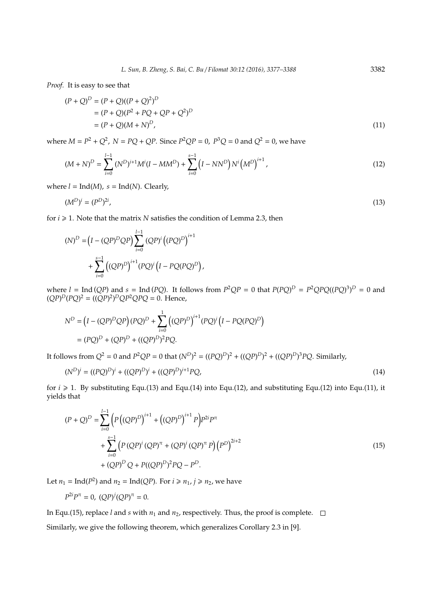*Proof.* It is easy to see that

$$
(P + Q)^D = (P + Q)((P + Q)^2)^D
$$
  
= (P + Q)(P<sup>2</sup> + PQ + QP + Q<sup>2</sup>)<sup>D</sup>  
= (P + Q)(M + N)<sup>D</sup>, (11)

where  $M = P^2 + Q^2$ ,  $N = PQ + QP$ . Since  $P^2QP = 0$ ,  $P^3Q = 0$  and  $Q^2 = 0$ , we have

$$
(M+N)^{D} = \sum_{i=0}^{I-1} (N^{D})^{i+1} M^{i} (I - MM^{D}) + \sum_{i=0}^{s-1} (I - NN^{D}) N^{i} (M^{D})^{i+1}, \qquad (12)
$$

where  $l = Ind(M)$ ,  $s = Ind(N)$ . Clearly,

$$
(M^D)^i = (P^D)^{2i}, \tag{13}
$$

for  $i \ge 1$ . Note that the matrix *N* satisfies the condition of Lemma 2.3, then

$$
(N)^{D} = (I - (QP)^{D}QP) \sum_{i=0}^{l-1} (QP)^{i} ((PQ)^{D})^{i+1} + \sum_{i=0}^{s-1} ((QP)^{D})^{i+1} (PQ)^{i} (I - PQ(PQ)^{D}),
$$

where  $l = \text{Ind}(QP)$  and  $s = \text{Ind}(PQ)$ . It follows from  $P^2QP = 0$  that  $P(PQ)^D = P^2QPQ((PQ)^3)^D = 0$  and  $(QP)^D (PQ)^2 = ((QP)^2)^D QP^2 QPQ = 0.$  Hence,

$$
N^{D} = (I - (QP)^{D}QP)(PQ)^{D} + \sum_{i=0}^{1} ((QP)^{D})^{i+1} (PQ)^{i} (I - PQ(PQ)^{D})
$$
  
=  $(PQ)^{D} + (QP)^{D} + ((QP)^{D})^{2} PQ$ .

It follows from  $Q^2 = 0$  and  $P^2QP = 0$  that  $(N^D)^2 = ((PQ)^D)^2 + ((QP)^D)^2 + ((QP)^D)^3PQ$ . Similarly,

$$
(N^D)^i = ((PQ)^D)^i + ((QP)^D)^i + ((QP)^D)^{i+1}PQ,
$$
\n(14)

for  $i \ge 1$ . By substituting Equ.(13) and Equ.(14) into Equ.(12), and substituting Equ.(12) into Equ.(11), it yields that

$$
(P+Q)^{D} = \sum_{i=0}^{l-1} \left( P((QP)^{D})^{i+1} + ((QP)^{D})^{i+1} P \right) P^{2i} P^{\pi}
$$
  
+ 
$$
\sum_{i=0}^{s-1} \left( P(QP)^{i} (QP)^{\pi} + (QP)^{i} (QP)^{\pi} P \right) (P^{D})^{2i+2}
$$
  
+ 
$$
(QP)^{D} Q + P((QP)^{D})^{2} PQ - P^{D}.
$$
 (15)

Let  $n_1 = \text{Ind}(P^2)$  and  $n_2 = \text{Ind}(QP)$ . For  $i \ge n_1$ ,  $j \ge n_2$ , we have

 $P^{2i}P^{\pi} = 0$ ,  $(QP)^{j}(QP)^{\pi} = 0$ .

In Equ.(15), replace *l* and *s* with  $n_1$  and  $n_2$ , respectively. Thus, the proof is complete.  $\Box$ Similarly, we give the following theorem, which generalizes Corollary 2.3 in [9].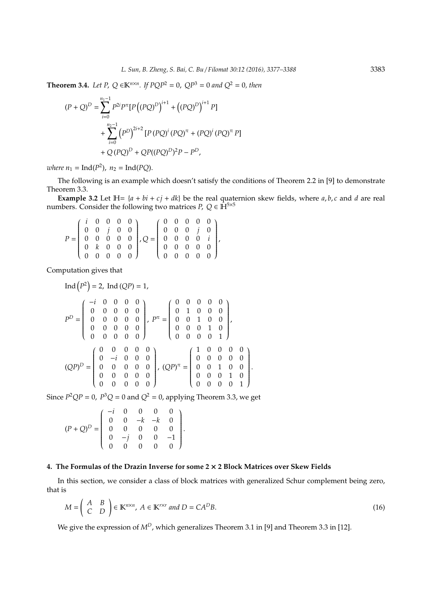**Theorem 3.4.** *Let P*,  $Q \in \mathbb{K}^{n \times n}$ *. If PQP*<sup>2</sup> = 0,  $QP$ <sup>3</sup> = 0 *and*  $Q$ <sup>2</sup> = 0*, then* 

$$
(P+Q)^D = \sum_{i=0}^{n_1-1} P^{2i} P^{\pi} [P((PQ)^D)^{i+1} + ((PQ)^D)^{i+1} P]
$$
  
+ 
$$
\sum_{i=0}^{n_2-1} (P^D)^{2i+2} [P(PQ)^i (PQ)^{\pi} + (PQ)^i (PQ)^{\pi} P]
$$
  
+ 
$$
Q(PQ)^D + QP((PQ)^D)^2 P - P^D,
$$

*where*  $n_1 = \text{Ind}(P^2)$ ,  $n_2 = \text{Ind}(PQ)$ .

The following is an example which doesn't satisfy the conditions of Theorem 2.2 in [9] to demonstrate Theorem 3.3.

**Example 3.2** Let  $H = \{a + bi + cj + dk\}$  be the real quaternion skew fields, where  $a, b, c$  and  $d$  are real numbers. Consider the following two matrices *P*,  $Q \in \mathbf{\hat{H}}^{5\times5}$ 

$$
P = \left(\begin{array}{cccc} i & 0 & 0 & 0 & 0 \\ 0 & 0 & j & 0 & 0 \\ 0 & 0 & 0 & 0 & 0 \\ 0 & k & 0 & 0 & 0 \\ 0 & 0 & 0 & 0 & 0 \end{array}\right), Q = \left(\begin{array}{cccc} 0 & 0 & 0 & 0 & 0 \\ 0 & 0 & 0 & j & 0 \\ 0 & 0 & 0 & 0 & i \\ 0 & 0 & 0 & 0 & 0 \\ 0 & 0 & 0 & 0 & 0 \end{array}\right),
$$

Computation gives that

$$
\text{Ind}\left(P^2\right) = 2, \text{ Ind}\left(QP\right) = 1,
$$
\n
$$
P^D = \begin{pmatrix} -i & 0 & 0 & 0 & 0 \\ 0 & 0 & 0 & 0 & 0 \\ 0 & 0 & 0 & 0 & 0 \\ 0 & 0 & 0 & 0 & 0 \\ 0 & 0 & 0 & 0 & 0 \end{pmatrix}, P^{\pi} = \begin{pmatrix} 0 & 0 & 0 & 0 & 0 \\ 0 & 1 & 0 & 0 & 0 \\ 0 & 0 & 1 & 0 & 0 \\ 0 & 0 & 0 & 1 & 0 \\ 0 & 0 & 0 & 0 & 1 \end{pmatrix},
$$
\n
$$
\left(QP\right)^D = \begin{pmatrix} 0 & 0 & 0 & 0 & 0 \\ 0 & -i & 0 & 0 & 0 \\ 0 & 0 & 0 & 0 & 0 \\ 0 & 0 & 0 & 0 & 0 \end{pmatrix}, \left(QP\right)^{\pi} = \begin{pmatrix} 1 & 0 & 0 & 0 & 0 \\ 0 & 0 & 0 & 0 & 0 \\ 0 & 0 & 1 & 0 & 0 \\ 0 & 0 & 0 & 1 & 0 \\ 0 & 0 & 0 & 0 & 1 \end{pmatrix}.
$$

Since  $P^2QP = 0$ ,  $P^3Q = 0$  and  $Q^2 = 0$ , applying Theorem 3.3, we get

$$
(P+Q)^D=\left(\begin{array}{cccccc}-i&0&0&0&0\\0&0&-k&-k&0\\0&0&0&0&0\\0&-j&0&0&-1\\0&0&0&0&0\end{array}\right).
$$

## **4. The Formulas of the Drazin Inverse for some 2** × **2 Block Matrices over Skew Fields**

In this section, we consider a class of block matrices with generalized Schur complement being zero, that is

$$
M = \begin{pmatrix} A & B \\ C & D \end{pmatrix} \in \mathbb{K}^{n \times n}, A \in \mathbb{K}^{r \times r} \text{ and } D = CA^D B. \tag{16}
$$

We give the expression of  $M^D$ , which generalizes Theorem 3.1 in [9] and Theorem 3.3 in [12].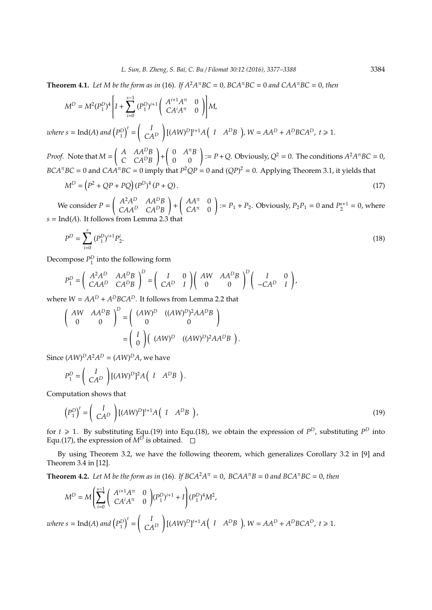**Theorem 4.1.** *Let M be the form as in* (16)*. If*  $A^2A^{\pi}BC = 0$ *,*  $BCA^{\pi}BC = 0$  and  $CAA^{\pi}BC = 0$ *, then* 

$$
M^{D} = M^{2}(P_{1}^{D})^{4} \left[ I + \sum_{i=0}^{s-1} (P_{1}^{D})^{i+1} \begin{pmatrix} A^{i+1}A^{\pi} & 0 \\ CA^{i}A^{\pi} & 0 \end{pmatrix} \right] M,
$$

*where*  $s = \text{Ind}(A)$  and  $(P_1^D)^t =$  *I CA<sup>D</sup>* !  $[(AW)^D]^{t+1}A(TA^DB), W = AA^D + A^DBCA^D, t \ge 1.$ 

*Proof.* Note that *M* =  $\left(A \quad AA^DB\right)$ *C CA<sup>D</sup>B* ! +  $\begin{pmatrix} 0 & A^{\pi}B \\ 0 & 0 \end{pmatrix}$  := *P* + *Q*. Obviously, *Q*<sup>2</sup> = 0. The conditions  $A^2A^{\pi}BC = 0$ ,  $BCA<sup>\pi</sup>BC = 0$  and  $CAA<sup>\pi</sup>BC = 0$  imply that  $P<sup>2</sup>QP = 0$  and  $(QP)<sup>2</sup> = 0$ . Applying Theorem 3.1, it yields that

$$
M^D = (P^2 + QP + PQ)(P^D)^4 (P + Q).
$$
\n(17)

We consider *P* =  $\int A^2 A^D$  *AA<sup>D</sup>B CAA<sup>D</sup> CA<sup>D</sup>B* ! +  $\int A A^{\pi} = 0$  $CA^{\pi}$  0 ! :=  $P_1 + P_2$ . Obviously,  $P_2P_1 = 0$  and  $P_2^{s+1} = 0$ , where  $s = Ind(A)$ . It follows from Lemm

$$
P^D = \sum_{i=0}^{s} (P_1^D)^{i+1} P_2^i.
$$
 (18)

Decompose  $P_1^D$  into the following form

$$
P_1^D = \begin{pmatrix} A^2 A^D & A A^D B \\ C A A^D & C A^D B \end{pmatrix}^D = \begin{pmatrix} I & 0 \\ C A^D & I \end{pmatrix} \begin{pmatrix} A W & A A^D B \\ 0 & 0 \end{pmatrix}^D \begin{pmatrix} I & 0 \\ -C A^D & I \end{pmatrix},
$$

.

where  $W = AA^D + A^D BCA^D$ . It follows from Lemma 2.2 that

$$
\begin{pmatrix} AW & AA^DB \\ 0 & 0 \end{pmatrix}^D = \begin{pmatrix} (AW)^D & ((AW)^D)^2AA^DB \\ 0 & 0 \end{pmatrix}
$$

$$
= \begin{pmatrix} I \\ 0 \end{pmatrix} ( (AW)^D & ((AW)^D)^2AA^DB ).
$$

Since  $(AW)^D A^2 A^D = (AW)^D A$ , we have

$$
P_1^D = \left(\begin{array}{c} I \\ CA^D \end{array}\right) [ (AW)^D]^2 A \left(\begin{array}{cc} I & A^D B \end{array}\right)
$$

Computation shows that

$$
\left(P_1^D\right)^t = \left(\begin{array}{c} I \\ CA^D \end{array}\right) \left[ (AW)^D \right]^{t+1} A \left(I - A^D B\right),\tag{19}
$$

for  $t \ge 1$ . By substituting Equ.(19) into Equ.(18), we obtain the expression of  $P^D$ , substituting  $P^D$  into Equ.(17), the expression of  $M^D$  is obtained.

By using Theorem 3.2, we have the following theorem, which generalizes Corollary 3.2 in [9] and Theorem 3.4 in [12].

**Theorem 4.2.** Let M be the form as in (16). If  $BCA^2A^{\pi} = 0$ ,  $BCAA^{\pi}B = 0$  and  $BCA^{\pi}BC = 0$ , then

$$
M^{D} = M \left( \sum_{i=0}^{s-1} \begin{pmatrix} A^{i+1}A^{\pi} & 0 \\ CA^{i}A^{\pi} & 0 \end{pmatrix} (P_{1}^{D})^{i+1} + I \right) (P_{1}^{D})^{4} M^{2},
$$
  
where  $s = \text{Ind}(A)$  and  $(P_{1}^{D})^{t} = \begin{pmatrix} I \\ CA^{D} \end{pmatrix} [(AW)^{D}]^{t+1} A (I \ A^{D}B), W = AA^{D} + A^{D}BCA^{D}, t \ge 1.$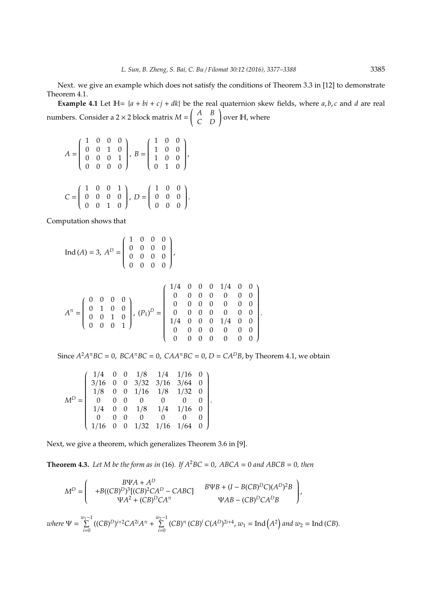Next. we give an example which does not satisfy the conditions of Theorem 3.3 in [12] to demonstrate Theorem 4.1.

**Example 4.1** Let  $H = {a + bi + cj + dk}$  be the real quaternion skew fields, where *a*, *b*, *c* and *d* are real numbers. Consider a 2  $\times$  2 block matrix  $M = \begin{pmatrix} A & B \\ C & D \end{pmatrix}$  over H, where

$$
A = \begin{pmatrix} 1 & 0 & 0 & 0 \\ 0 & 0 & 1 & 0 \\ 0 & 0 & 0 & 1 \\ 0 & 0 & 0 & 0 \end{pmatrix}, B = \begin{pmatrix} 1 & 0 & 0 \\ 1 & 0 & 0 \\ 1 & 0 & 0 \\ 0 & 1 & 0 \end{pmatrix},
$$

$$
C = \begin{pmatrix} 1 & 0 & 0 & 1 \\ 0 & 0 & 0 & 0 \\ 0 & 0 & 1 & 0 \end{pmatrix}, D = \begin{pmatrix} 1 & 0 & 0 \\ 0 & 0 & 0 \\ 0 & 0 & 0 \end{pmatrix}.
$$

Computation shows that

$$
\text{Ind}(A) = 3, A^{D} = \begin{pmatrix} 1 & 0 & 0 & 0 \\ 0 & 0 & 0 & 0 \\ 0 & 0 & 0 & 0 \\ 0 & 0 & 0 & 0 \end{pmatrix},
$$
  

$$
A^{\pi} = \begin{pmatrix} 0 & 0 & 0 & 0 \\ 0 & 1 & 0 & 0 \\ 0 & 0 & 1 & 0 \\ 0 & 0 & 0 & 1 \end{pmatrix}, (P_{1})^{D} = \begin{pmatrix} 1/4 & 0 & 0 & 0 & 1/4 & 0 & 0 \\ 0 & 0 & 0 & 0 & 0 & 0 & 0 \\ 0 & 0 & 0 & 0 & 0 & 0 & 0 \\ 0 & 0 & 0 & 0 & 0 & 0 & 0 \\ 0 & 0 & 0 & 0 & 0 & 0 & 0 \\ 0 & 0 & 0 & 0 & 0 & 0 & 0 \end{pmatrix}.
$$

Since  $A^2A^{\pi}BC = 0$ ,  $BCA^{\pi}BC = 0$ ,  $CAA^{\pi}BC = 0$ ,  $D = CA^DB$ , by Theorem 4.1, we obtain

$$
M^D = \left( \begin{array}{cccccc} 1/4 & 0 & 0 & 1/8 & 1/4 & 1/16 & 0 \\ 3/16 & 0 & 0 & 3/32 & 3/16 & 3/64 & 0 \\ 1/8 & 0 & 0 & 1/16 & 1/8 & 1/32 & 0 \\ 0 & 0 & 0 & 0 & 0 & 0 & 0 \\ 1/4 & 0 & 0 & 1/8 & 1/4 & 1/16 & 0 \\ 0 & 0 & 0 & 0 & 0 & 0 & 0 \\ 1/16 & 0 & 0 & 1/32 & 1/16 & 1/64 & 0 \end{array} \right).
$$

Next, we give a theorem, which generalizes Theorem 3.6 in [9].

**Theorem 4.3.** Let M be the form as in (16). If  $A^2BC = 0$ ,  $ABCA = 0$  and  $ABCB = 0$ , then

$$
M^{D} = \begin{pmatrix} B\Psi A + A^{D} \\ +B((CB)^{D})^{3}[(CB)^{2}CA^{D} - CABC] & B\Psi B + (I - B(CB)^{D}C)(A^{D})^{2}B \\ \Psi A^{2} + (CB)^{D}CA^{\pi} & \Psi AB - (CB)^{D}CA^{D}B \end{pmatrix},
$$

*where*  $\Psi = \sum_{n=1}^{\infty}$  $\sum_{i=0}^{w_1-1} ((CB)^D)^{i+2}CA^{2i}A^{\pi} + \sum_{i=0}^{w_2-1}$  $\sum_{i=0}^{2} (CB)^{\pi} (CB)^{i} C(A^{D})^{2i+4}$ ,  $w_1 = \text{Ind}(A^2)$  and  $w_2 = \text{Ind}(CB)$ .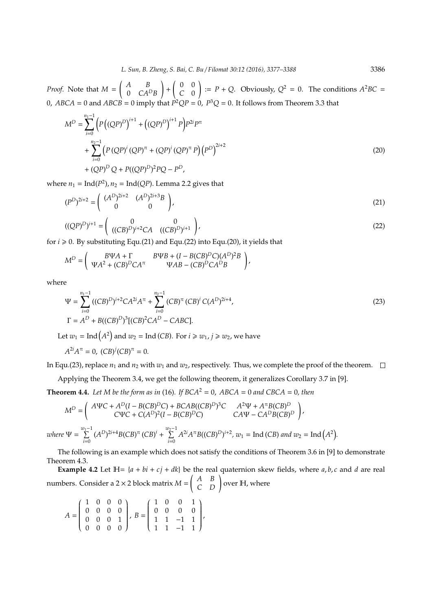*Proof.* Note that *M* = *A B* 0 *CA<sup>D</sup>B* ! +  $\begin{pmatrix} 0 & 0 \\ 0 & 0 \end{pmatrix}$ *C* 0  $\left( \begin{array}{lll} 1 & \vdots \ P + Q & \text{Obviously, } Q^2 = 0. \end{array} \right)$  The conditions  $A^2BC =$ 0,  $ABCA = 0$  and  $ABCB = 0$  imply that  $P^2QP = 0$ ,  $P^3Q = 0$ . It follows from Theorem 3.3 that

$$
M^{D} = \sum_{i=0}^{n_{1}-1} \left( P((QP)^{D})^{i+1} + ((QP)^{D})^{i+1} P \right) P^{2i} P^{\pi}
$$
  
+ 
$$
\sum_{i=0}^{n_{2}-1} \left( P(QP)^{i} (QP)^{\pi} + (QP)^{i} (QP)^{\pi} P \right) \left( P^{D} \right)^{2i+2}
$$
  
+ 
$$
(QP)^{D} Q + P((QP)^{D})^{2} PQ - P^{D},
$$
 (20)

where  $n_1 = \text{Ind}(P^2)$ ,  $n_2 = \text{Ind}(QP)$ . Lemma 2.2 gives that

$$
(P^D)^{2i+2} = \begin{pmatrix} (A^D)^{2i+2} & (A^D)^{2i+3}B \\ 0 & 0 \end{pmatrix},
$$
 (21)

$$
((QP)^D)^{i+1} = \begin{pmatrix} 0 & 0 \\ ((CB)^D)^{i+2}CA & ((CB)^D)^{i+1} \end{pmatrix},
$$
\n(22)

for  $i \ge 0$ . By substituting Equ.(21) and Equ.(22) into Equ.(20), it yields that

$$
M^{D} = \begin{pmatrix} B\Psi A + \Gamma & B\Psi B + (I - B(CB)^D C)(A^D)^2 B \\ \Psi A^2 + (CB)^D C A^{\pi} & \Psi A B - (CB)^D C A^D B \end{pmatrix},
$$

where

$$
\Psi = \sum_{i=0}^{n_1 - 1} ((CB)^D)^{i+2}CA^{2i}A^{\pi} + \sum_{i=0}^{n_2 - 1} (CB)^{\pi} (CB)^i C(A^D)^{2i+4},
$$
  
\n
$$
\Gamma = A^D + B((CB)^D)^3 [(CB)^2CA^D - CABC].
$$
\n(23)

Let  $w_1 = \text{Ind}(A^2)$  and  $w_2 = \text{Ind}(CB)$ . For  $i \geq w_1$ ,  $j \geq w_2$ , we have

$$
A^{2i}A^{\pi} = 0
$$
,  $(CB)^{j}(CB)^{\pi} = 0$ .

In Equ.(23), replace  $n_1$  and  $n_2$  with  $w_1$  and  $w_2$ , respectively. Thus, we complete the proof of the theorem.  $\Box$ 

Applying the Theorem 3.4, we get the following theorem, it generalizes Corollary 3.7 in [9].

**Theorem 4.4.** Let M be the form as in (16). If  $BCA^2 = 0$ ,  $ABCA = 0$  and  $CBCA = 0$ , then

$$
M^{D} = \begin{pmatrix} A\Psi C + A^{D}(I - B(CB)^{D}C) + BCAB((CB)^{D})^{3}C & A^{2}\Psi + A^{n}B(CB)^{D} \\ C\Psi C + C(A^{D})^{2}(I - B(CB)^{D}C) & CA\Psi - CA^{D}B(CB)^{D} \end{pmatrix},
$$
  
where  $\Psi = \sum_{i=0}^{w_{1}-1} (A^{D})^{2i+4}B(CB)^{n} (CB)^{i} + \sum_{i=0}^{w_{2}-1} A^{2i}A^{n}B((CB)^{D})^{i+2}, w_{1} = \text{Ind}(CB) \text{ and } w_{2} = \text{Ind}(A^{2}).$ 

The following is an example which does not satisfy the conditions of Theorem 3.6 in [9] to demonstrate Theorem 4.3.

**Example 4.2** Let  $H = {a + bi + cj + dk}$  be the real quaternion skew fields, where *a*, *b*, *c* and *d* are real numbers. Consider a 2 × 2 block matrix  $M = \begin{pmatrix} A & B \\ C & D \end{pmatrix}$  over IH, where

$$
A = \begin{pmatrix} 1 & 0 & 0 & 0 \\ 0 & 0 & 0 & 0 \\ 0 & 0 & 0 & 1 \\ 0 & 0 & 0 & 0 \end{pmatrix}, B = \begin{pmatrix} 1 & 0 & 0 & 1 \\ 0 & 0 & 0 & 0 \\ 1 & 1 & -1 & 1 \\ 1 & 1 & -1 & 1 \end{pmatrix},
$$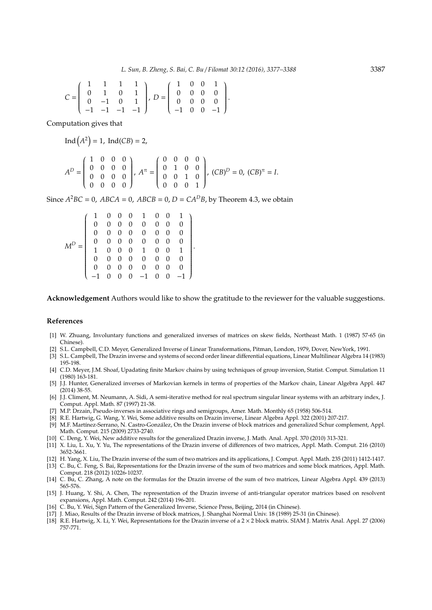$$
C = \left(\begin{array}{rrrr} 1 & 1 & 1 & 1 \\ 0 & 1 & 0 & 1 \\ 0 & -1 & 0 & 1 \\ -1 & -1 & -1 & -1 \end{array}\right),\ D = \left(\begin{array}{rrrr} 1 & 0 & 0 & 1 \\ 0 & 0 & 0 & 0 \\ 0 & 0 & 0 & 0 \\ -1 & 0 & 0 & -1 \end{array}\right).
$$

Computation gives that

 $Ind(A^2) = 1$ ,  $Ind(CB) = 2$ ,

$$
A^{D} = \begin{pmatrix} 1 & 0 & 0 & 0 \\ 0 & 0 & 0 & 0 \\ 0 & 0 & 0 & 0 \\ 0 & 0 & 0 & 0 \end{pmatrix}, A^{\pi} = \begin{pmatrix} 0 & 0 & 0 & 0 \\ 0 & 1 & 0 & 0 \\ 0 & 0 & 1 & 0 \\ 0 & 0 & 0 & 1 \end{pmatrix}, (CB)^{D} = 0, (CB)^{\pi} = I.
$$

Since  $A^2BC = 0$ ,  $ABCA = 0$ ,  $ABCB = 0$ ,  $D = CA^DB$ , by Theorem 4.3, we obtain

| $M^D =$ |               |  |  |  |                                                                                                                                                                                                                                                                                                               |
|---------|---------------|--|--|--|---------------------------------------------------------------------------------------------------------------------------------------------------------------------------------------------------------------------------------------------------------------------------------------------------------------|
|         | $\frac{1}{1}$ |  |  |  |                                                                                                                                                                                                                                                                                                               |
|         |               |  |  |  |                                                                                                                                                                                                                                                                                                               |
|         |               |  |  |  |                                                                                                                                                                                                                                                                                                               |
|         |               |  |  |  | $\begin{array}{cccccccc} 1 & 0 & 0 & 0 & 1 & 0 & 0 & 1 \\ 0 & 0 & 0 & 0 & 0 & 0 & 0 & 0 \\ 0 & 0 & 0 & 0 & 0 & 0 & 0 & 0 \\ 0 & 0 & 0 & 0 & 0 & 0 & 0 & 0 \\ 1 & 0 & 0 & 0 & 1 & 0 & 0 & 1 \\ 0 & 0 & 0 & 0 & 0 & 0 & 0 & 0 \\ 0 & 0 & 0 & 0 & 0 & 0 & 0 & 0 \\ -1 & 0 & 0 & 0 & -1 & 0 & 0 & -1 \end{array}$ |

**Acknowledgement** Authors would like to show the gratitude to the reviewer for the valuable suggestions.

.

## **References**

- [1] W. Zhuang, Involuntary functions and generalized inverses of matrices on skew fields, Northeast Math. 1 (1987) 57-65 (in Chinese).
- [2] S.L. Campbell, C.D. Meyer, Generalized Inverse of Linear Transformations, Pitman, London, 1979, Dover, NewYork, 1991.
- [3] S.L. Campbell, The Drazin inverse and systems of second order linear differential equations, Linear Multilinear Algebra 14 (1983) 195-198.
- [4] C.D. Meyer, J.M. Shoaf, Upadating finite Markov chains by using techniques of group inversion, Statist. Comput. Simulation 11 (1980) 163-181.
- [5] J.J. Hunter, Generalized inverses of Markovian kernels in terms of properties of the Markov chain, Linear Algebra Appl. 447 (2014) 38-55.
- [6] J.J. Climent, M. Neumann, A. Sidi, A semi-iterative method for real spectrum singular linear systems with an arbitrary index, J. Comput. Appl. Math. 87 (1997) 21-38.
- [7] M.P. Drzain, Pseudo-inverses in associative rings and semigroups, Amer. Math. Monthly 65 (1958) 506-514.
- [8] R.E. Hartwig, G. Wang, Y. Wei, Some additive results on Drazin inverse, Linear Algebra Appl. 322 (2001) 207-217.
- [9] M.F. Martínez-Serrano, N. Castro-González, On the Drazin inverse of block matrices and generalized Schur complement, Appl. Math. Comput. 215 (2009) 2733-2740.
- [10] C. Deng, Y. Wei, New additive results for the generalized Drazin inverse, J. Math. Anal. Appl. 370 (2010) 313-321.
- [11] X. Liu, L. Xu, Y. Yu, The representations of the Drazin inverse of differences of two matrices, Appl. Math. Comput. 216 (2010) 3652-3661.
- [12] H. Yang, X. Liu, The Drazin inverse of the sum of two matrices and its applications, J. Comput. Appl. Math. 235 (2011) 1412-1417. [13] C. Bu, C. Feng, S. Bai, Representations for the Drazin inverse of the sum of two matrices and some block matrices, Appl. Math.
- Comput. 218 (2012) 10226-10237. [14] C. Bu, C. Zhang, A note on the formulas for the Drazin inverse of the sum of two matrices, Linear Algebra Appl. 439 (2013) 565-576.
- [15] J. Huang, Y. Shi, A. Chen, The representation of the Drazin inverse of anti-triangular operator matrices based on resolvent expansions, Appl. Math. Comput. 242 (2014) 196-201.
- [16] C. Bu, Y. Wei, Sign Pattern of the Generalized Inverse, Science Press, Beijing, 2014 (in Chinese).
- [17] J. Miao, Results of the Drazin inverse of block matrices, J. Shanghai Normal Univ. 18 (1989) 25-31 (in Chinese).
- [18] R.E. Hartwig, X. Li, Y. Wei, Representations for the Drazin inverse of a 2 × 2 block matrix. SIAM J. Matrix Anal. Appl. 27 (2006) 757-771.